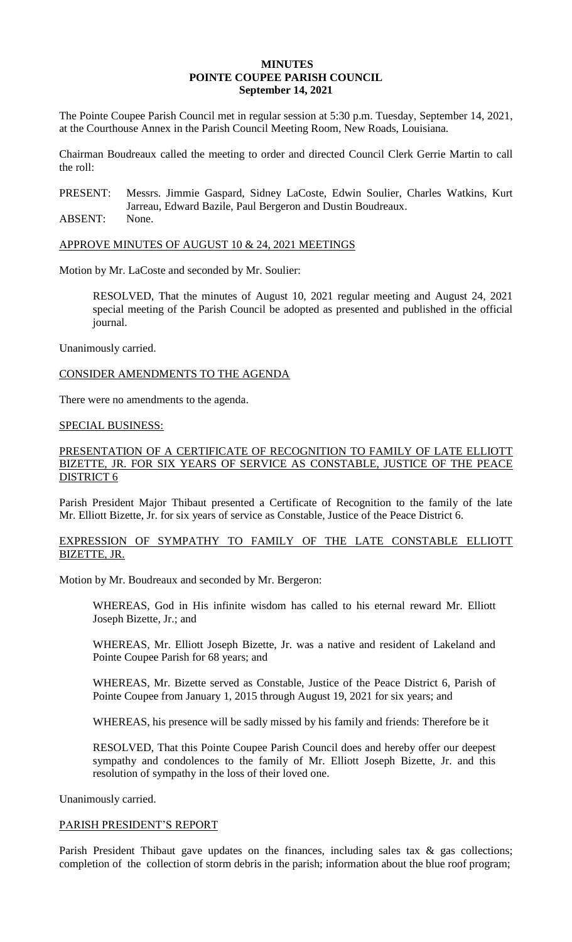#### **MINUTES POINTE COUPEE PARISH COUNCIL September 14, 2021**

The Pointe Coupee Parish Council met in regular session at 5:30 p.m. Tuesday, September 14, 2021, at the Courthouse Annex in the Parish Council Meeting Room, New Roads, Louisiana.

Chairman Boudreaux called the meeting to order and directed Council Clerk Gerrie Martin to call the roll:

PRESENT: Messrs. Jimmie Gaspard, Sidney LaCoste, Edwin Soulier, Charles Watkins, Kurt Jarreau, Edward Bazile, Paul Bergeron and Dustin Boudreaux.

ABSENT: None.

#### APPROVE MINUTES OF AUGUST 10 & 24, 2021 MEETINGS

Motion by Mr. LaCoste and seconded by Mr. Soulier:

RESOLVED, That the minutes of August 10, 2021 regular meeting and August 24, 2021 special meeting of the Parish Council be adopted as presented and published in the official journal.

Unanimously carried.

#### CONSIDER AMENDMENTS TO THE AGENDA

There were no amendments to the agenda.

#### SPECIAL BUSINESS:

# PRESENTATION OF A CERTIFICATE OF RECOGNITION TO FAMILY OF LATE ELLIOTT BIZETTE, JR. FOR SIX YEARS OF SERVICE AS CONSTABLE, JUSTICE OF THE PEACE DISTRICT 6

Parish President Major Thibaut presented a Certificate of Recognition to the family of the late Mr. Elliott Bizette, Jr. for six years of service as Constable, Justice of the Peace District 6.

# EXPRESSION OF SYMPATHY TO FAMILY OF THE LATE CONSTABLE ELLIOTT BIZETTE, JR.

Motion by Mr. Boudreaux and seconded by Mr. Bergeron:

WHEREAS, God in His infinite wisdom has called to his eternal reward Mr. Elliott Joseph Bizette, Jr.; and

WHEREAS, Mr. Elliott Joseph Bizette, Jr. was a native and resident of Lakeland and Pointe Coupee Parish for 68 years; and

WHEREAS, Mr. Bizette served as Constable, Justice of the Peace District 6, Parish of Pointe Coupee from January 1, 2015 through August 19, 2021 for six years; and

WHEREAS, his presence will be sadly missed by his family and friends: Therefore be it

RESOLVED, That this Pointe Coupee Parish Council does and hereby offer our deepest sympathy and condolences to the family of Mr. Elliott Joseph Bizette, Jr. and this resolution of sympathy in the loss of their loved one.

Unanimously carried.

#### PARISH PRESIDENT'S REPORT

Parish President Thibaut gave updates on the finances, including sales tax & gas collections; completion of the collection of storm debris in the parish; information about the blue roof program;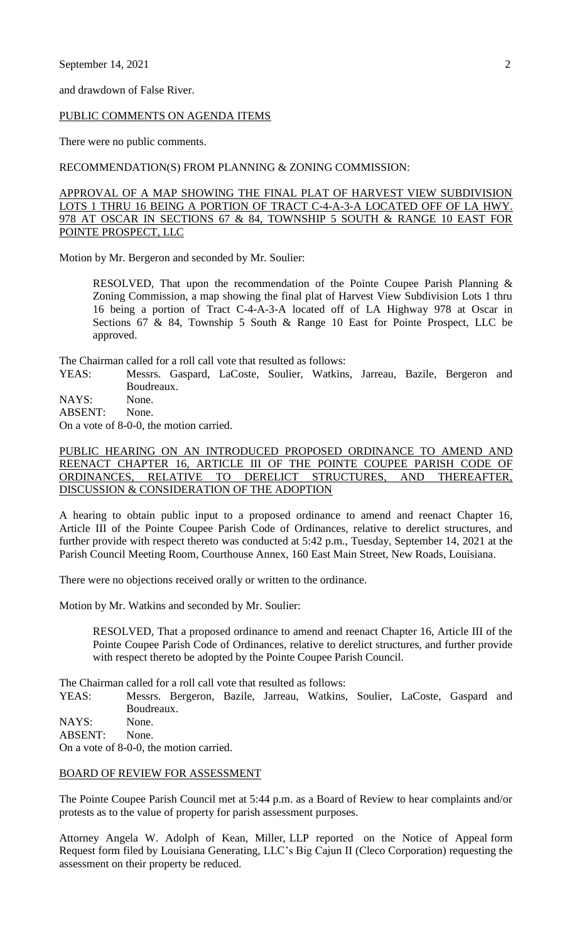and drawdown of False River.

#### PUBLIC COMMENTS ON AGENDA ITEMS

There were no public comments.

RECOMMENDATION(S) FROM PLANNING & ZONING COMMISSION:

APPROVAL OF A MAP SHOWING THE FINAL PLAT OF HARVEST VIEW SUBDIVISION LOTS 1 THRU 16 BEING A PORTION OF TRACT C-4-A-3-A LOCATED OFF OF LA HWY. 978 AT OSCAR IN SECTIONS 67 & 84, TOWNSHIP 5 SOUTH & RANGE 10 EAST FOR POINTE PROSPECT, LLC

Motion by Mr. Bergeron and seconded by Mr. Soulier:

RESOLVED, That upon the recommendation of the Pointe Coupee Parish Planning & Zoning Commission, a map showing the final plat of Harvest View Subdivision Lots 1 thru 16 being a portion of Tract C-4-A-3-A located off of LA Highway 978 at Oscar in Sections 67 & 84, Township 5 South & Range 10 East for Pointe Prospect, LLC be approved.

The Chairman called for a roll call vote that resulted as follows:

- YEAS: Messrs. Gaspard, LaCoste, Soulier, Watkins, Jarreau, Bazile, Bergeron and Boudreaux.
- NAYS: None.

ABSENT: None.

On a vote of 8-0-0, the motion carried.

# PUBLIC HEARING ON AN INTRODUCED PROPOSED ORDINANCE TO AMEND AND REENACT CHAPTER 16, ARTICLE III OF THE POINTE COUPEE PARISH CODE OF ORDINANCES, RELATIVE TO DERELICT STRUCTURES, AND THEREAFTER, DISCUSSION & CONSIDERATION OF THE ADOPTION

A hearing to obtain public input to a proposed ordinance to amend and reenact Chapter 16, Article III of the Pointe Coupee Parish Code of Ordinances, relative to derelict structures, and further provide with respect thereto was conducted at 5:42 p.m., Tuesday, September 14, 2021 at the Parish Council Meeting Room, Courthouse Annex, 160 East Main Street, New Roads, Louisiana.

There were no objections received orally or written to the ordinance.

Motion by Mr. Watkins and seconded by Mr. Soulier:

RESOLVED, That a proposed ordinance to amend and reenact Chapter 16, Article III of the Pointe Coupee Parish Code of Ordinances, relative to derelict structures, and further provide with respect thereto be adopted by the Pointe Coupee Parish Council.

The Chairman called for a roll call vote that resulted as follows:

YEAS: Messrs. Bergeron, Bazile, Jarreau, Watkins, Soulier, LaCoste, Gaspard and Boudreaux.

NAYS: None.

ABSENT: None.

On a vote of 8-0-0, the motion carried.

# BOARD OF REVIEW FOR ASSESSMENT

The Pointe Coupee Parish Council met at 5:44 p.m. as a Board of Review to hear complaints and/or protests as to the value of property for parish assessment purposes.

Attorney Angela W. Adolph of Kean, Miller, LLP reported on the Notice of Appeal form Request form filed by Louisiana Generating, LLC's Big Cajun II (Cleco Corporation) requesting the assessment on their property be reduced.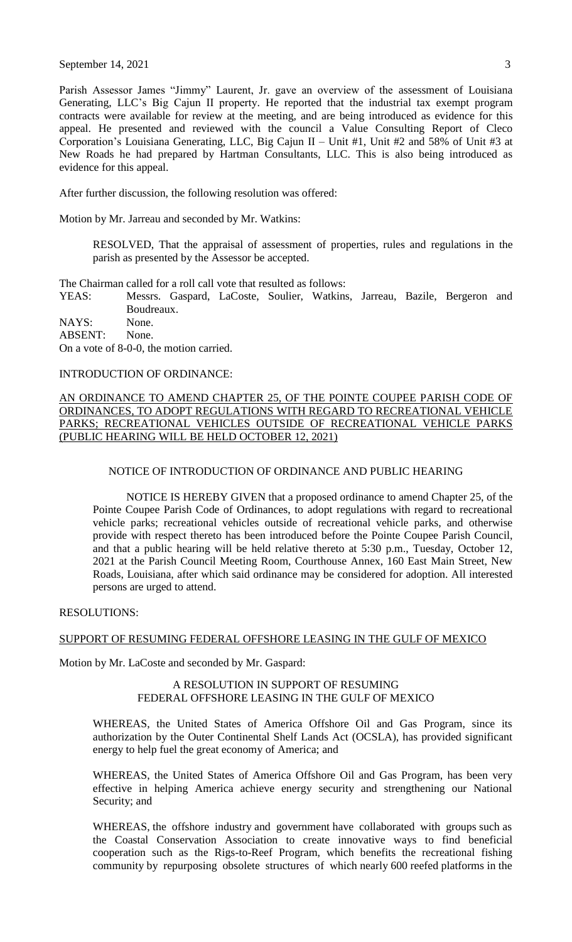September 14, 2021  $\overline{3}$ 

Parish Assessor James "Jimmy" Laurent, Jr. gave an overview of the assessment of Louisiana Generating, LLC's Big Cajun II property. He reported that the industrial tax exempt program contracts were available for review at the meeting, and are being introduced as evidence for this appeal. He presented and reviewed with the council a Value Consulting Report of Cleco Corporation's Louisiana Generating, LLC, Big Cajun II – Unit #1, Unit #2 and 58% of Unit #3 at New Roads he had prepared by Hartman Consultants, LLC. This is also being introduced as evidence for this appeal.

After further discussion, the following resolution was offered:

Motion by Mr. Jarreau and seconded by Mr. Watkins:

RESOLVED, That the appraisal of assessment of properties, rules and regulations in the parish as presented by the Assessor be accepted.

The Chairman called for a roll call vote that resulted as follows:

YEAS: Messrs. Gaspard, LaCoste, Soulier, Watkins, Jarreau, Bazile, Bergeron and Boudreaux.

NAYS: None. ABSENT: None.

On a vote of 8-0-0, the motion carried.

## INTRODUCTION OF ORDINANCE:

## AN ORDINANCE TO AMEND CHAPTER 25, OF THE POINTE COUPEE PARISH CODE OF ORDINANCES, TO ADOPT REGULATIONS WITH REGARD TO RECREATIONAL VEHICLE PARKS; RECREATIONAL VEHICLES OUTSIDE OF RECREATIONAL VEHICLE PARKS (PUBLIC HEARING WILL BE HELD OCTOBER 12, 2021)

#### NOTICE OF INTRODUCTION OF ORDINANCE AND PUBLIC HEARING

NOTICE IS HEREBY GIVEN that a proposed ordinance to amend Chapter 25, of the Pointe Coupee Parish Code of Ordinances, to adopt regulations with regard to recreational vehicle parks; recreational vehicles outside of recreational vehicle parks, and otherwise provide with respect thereto has been introduced before the Pointe Coupee Parish Council, and that a public hearing will be held relative thereto at 5:30 p.m., Tuesday, October 12, 2021 at the Parish Council Meeting Room, Courthouse Annex, 160 East Main Street, New Roads, Louisiana, after which said ordinance may be considered for adoption. All interested persons are urged to attend.

RESOLUTIONS:

## SUPPORT OF RESUMING FEDERAL OFFSHORE LEASING IN THE GULF OF MEXICO

Motion by Mr. LaCoste and seconded by Mr. Gaspard:

## A RESOLUTION IN SUPPORT OF RESUMING FEDERAL OFFSHORE LEASING IN THE GULF OF MEXICO

WHEREAS, the United States of America Offshore Oil and Gas Program, since its authorization by the Outer Continental Shelf Lands Act (OCSLA), has provided significant energy to help fuel the great economy of America; and

WHEREAS, the United States of America Offshore Oil and Gas Program, has been very effective in helping America achieve energy security and strengthening our National Security; and

WHEREAS, the offshore industry and government have collaborated with groups such as the Coastal Conservation Association to create innovative ways to find beneficial cooperation such as the Rigs-to-Reef Program, which benefits the recreational fishing community by repurposing obsolete structures of which nearly 600 reefed platforms in the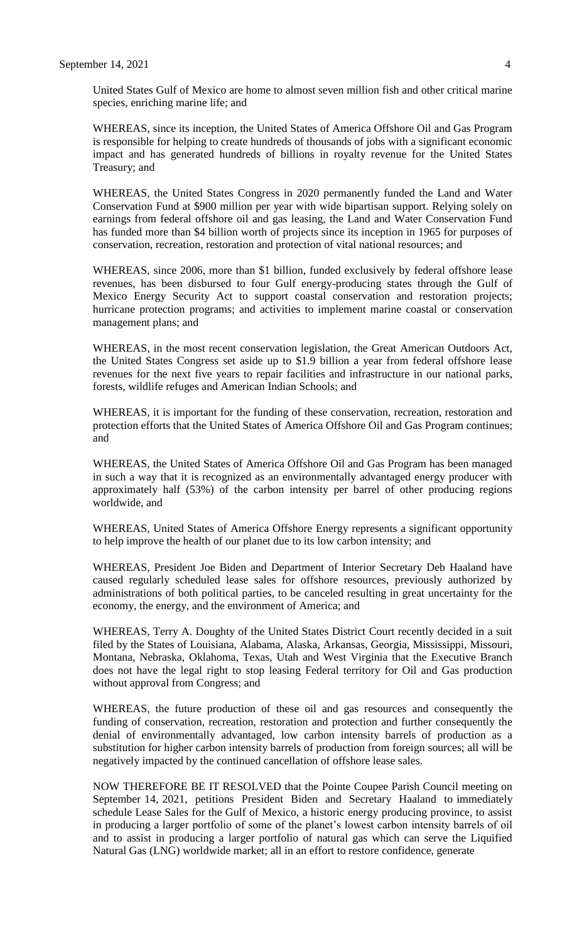United States Gulf of Mexico are home to almost seven million fish and other critical marine species, enriching marine life; and

WHEREAS, since its inception, the United States of America Offshore Oil and Gas Program is responsible for helping to create hundreds of thousands of jobs with a significant economic impact and has generated hundreds of billions in royalty revenue for the United States Treasury; and

WHEREAS, the United States Congress in 2020 permanently funded the Land and Water Conservation Fund at \$900 million per year with wide bipartisan support. Relying solely on earnings from federal offshore oil and gas leasing, the Land and Water Conservation Fund has funded more than \$4 billion worth of projects since its inception in 1965 for purposes of conservation, recreation, restoration and protection of vital national resources; and

WHEREAS, since 2006, more than \$1 billion, funded exclusively by federal offshore lease revenues, has been disbursed to four Gulf energy-producing states through the Gulf of Mexico Energy Security Act to support coastal conservation and restoration projects; hurricane protection programs; and activities to implement marine coastal or conservation management plans; and

WHEREAS, in the most recent conservation legislation, the Great American Outdoors Act, the United States Congress set aside up to \$1.9 billion a year from federal offshore lease revenues for the next five years to repair facilities and infrastructure in our national parks, forests, wildlife refuges and American Indian Schools; and

WHEREAS, it is important for the funding of these conservation, recreation, restoration and protection efforts that the United States of America Offshore Oil and Gas Program continues; and

WHEREAS, the United States of America Offshore Oil and Gas Program has been managed in such a way that it is recognized as an environmentally advantaged energy producer with approximately half (53%) of the carbon intensity per barrel of other producing regions worldwide, and

WHEREAS, United States of America Offshore Energy represents a significant opportunity to help improve the health of our planet due to its low carbon intensity; and

WHEREAS, President Joe Biden and Department of Interior Secretary Deb Haaland have caused regularly scheduled lease sales for offshore resources, previously authorized by administrations of both political parties, to be canceled resulting in great uncertainty for the economy, the energy, and the environment of America; and

WHEREAS, Terry A. Doughty of the United States District Court recently decided in a suit filed by the States of Louisiana, Alabama, Alaska, Arkansas, Georgia, Mississippi, Missouri, Montana, Nebraska, Oklahoma, Texas, Utah and West Virginia that the Executive Branch does not have the legal right to stop leasing Federal territory for Oil and Gas production without approval from Congress; and

WHEREAS, the future production of these oil and gas resources and consequently the funding of conservation, recreation, restoration and protection and further consequently the denial of environmentally advantaged, low carbon intensity barrels of production as a substitution for higher carbon intensity barrels of production from foreign sources; all will be negatively impacted by the continued cancellation of offshore lease sales.

NOW THEREFORE BE IT RESOLVED that the Pointe Coupee Parish Council meeting on September 14, 2021, petitions President Biden and Secretary Haaland to immediately schedule Lease Sales for the Gulf of Mexico, a historic energy producing province, to assist in producing a larger portfolio of some of the planet's lowest carbon intensity barrels of oil and to assist in producing a larger portfolio of natural gas which can serve the Liquified Natural Gas (LNG) worldwide market; all in an effort to restore confidence, generate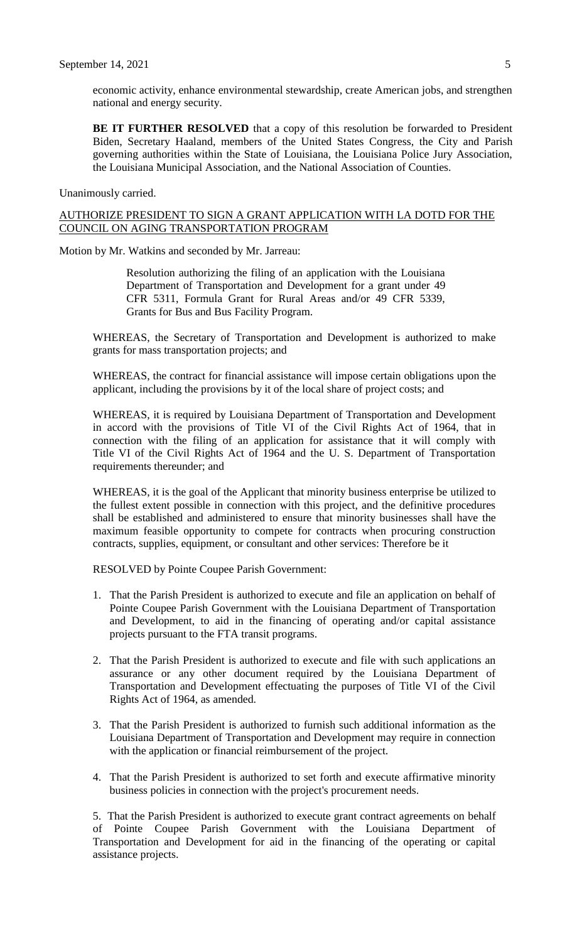economic activity, enhance environmental stewardship, create American jobs, and strengthen national and energy security.

**BE IT FURTHER RESOLVED** that a copy of this resolution be forwarded to President Biden, Secretary Haaland, members of the United States Congress, the City and Parish governing authorities within the State of Louisiana, the Louisiana Police Jury Association, the Louisiana Municipal Association, and the National Association of Counties.

Unanimously carried.

#### AUTHORIZE PRESIDENT TO SIGN A GRANT APPLICATION WITH LA DOTD FOR THE COUNCIL ON AGING TRANSPORTATION PROGRAM

Motion by Mr. Watkins and seconded by Mr. Jarreau:

Resolution authorizing the filing of an application with the Louisiana Department of Transportation and Development for a grant under 49 CFR 5311, Formula Grant for Rural Areas and/or 49 CFR 5339, Grants for Bus and Bus Facility Program.

WHEREAS, the Secretary of Transportation and Development is authorized to make grants for mass transportation projects; and

WHEREAS, the contract for financial assistance will impose certain obligations upon the applicant, including the provisions by it of the local share of project costs; and

WHEREAS, it is required by Louisiana Department of Transportation and Development in accord with the provisions of Title VI of the Civil Rights Act of 1964, that in connection with the filing of an application for assistance that it will comply with Title VI of the Civil Rights Act of 1964 and the U. S. Department of Transportation requirements thereunder; and

WHEREAS, it is the goal of the Applicant that minority business enterprise be utilized to the fullest extent possible in connection with this project, and the definitive procedures shall be established and administered to ensure that minority businesses shall have the maximum feasible opportunity to compete for contracts when procuring construction contracts, supplies, equipment, or consultant and other services: Therefore be it

RESOLVED by Pointe Coupee Parish Government:

- 1. That the Parish President is authorized to execute and file an application on behalf of Pointe Coupee Parish Government with the Louisiana Department of Transportation and Development, to aid in the financing of operating and/or capital assistance projects pursuant to the FTA transit programs.
- 2. That the Parish President is authorized to execute and file with such applications an assurance or any other document required by the Louisiana Department of Transportation and Development effectuating the purposes of Title VI of the Civil Rights Act of 1964, as amended.
- 3. That the Parish President is authorized to furnish such additional information as the Louisiana Department of Transportation and Development may require in connection with the application or financial reimbursement of the project.
- 4. That the Parish President is authorized to set forth and execute affirmative minority business policies in connection with the project's procurement needs.

5. That the Parish President is authorized to execute grant contract agreements on behalf of Pointe Coupee Parish Government with the Louisiana Department of Transportation and Development for aid in the financing of the operating or capital assistance projects.